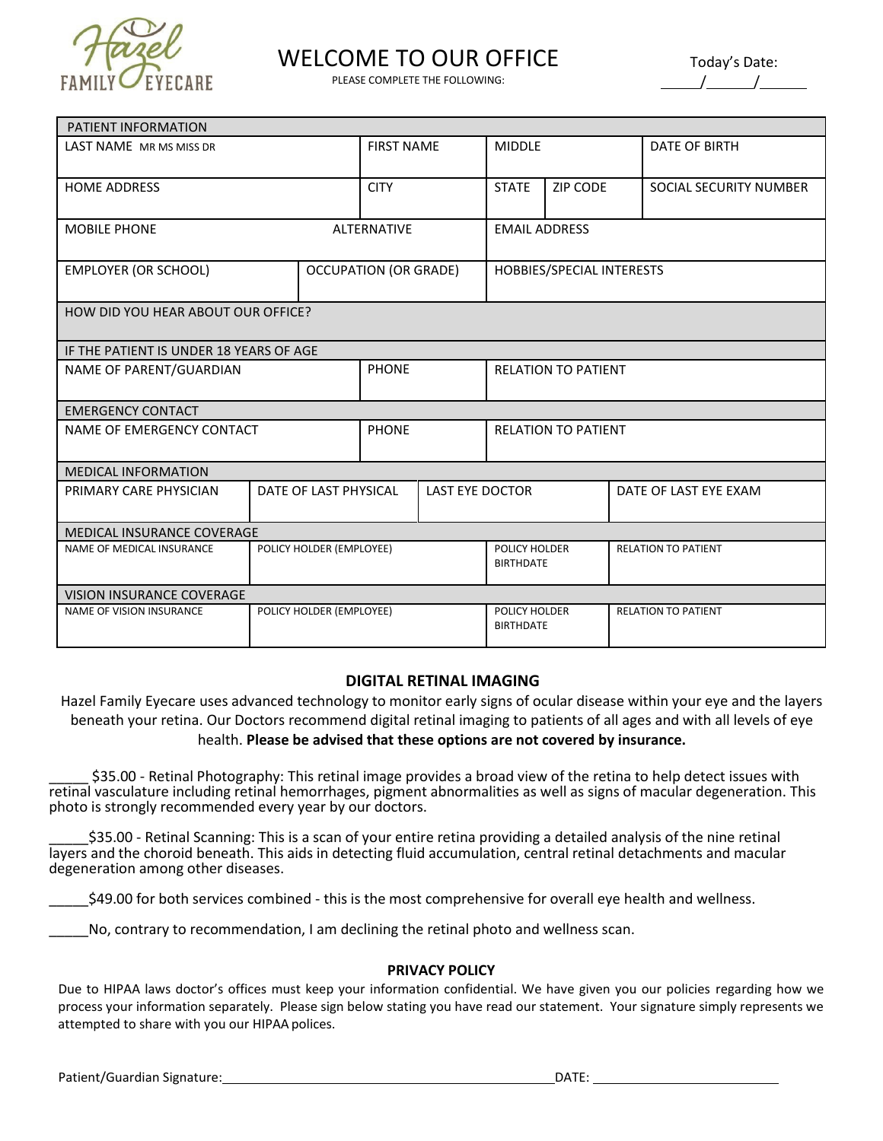

## WELCOME TO OUR OFFICE

PLEASE COMPLETE THE FOLLOWING:

| Today's Date: |  |  |  |  |  |  |  |  |
|---------------|--|--|--|--|--|--|--|--|
|               |  |  |  |  |  |  |  |  |

| PATIENT INFORMATION                     |                          |                              |                                   |                                   |                            |                        |  |  |  |  |
|-----------------------------------------|--------------------------|------------------------------|-----------------------------------|-----------------------------------|----------------------------|------------------------|--|--|--|--|
| LAST NAME MR MS MISS DR                 |                          | <b>FIRST NAME</b>            |                                   | <b>MIDDLE</b>                     |                            | <b>DATE OF BIRTH</b>   |  |  |  |  |
| <b>HOME ADDRESS</b>                     |                          | <b>CITY</b>                  |                                   | <b>STATE</b>                      | ZIP CODE                   | SOCIAL SECURITY NUMBER |  |  |  |  |
| <b>MOBILE PHONE</b>                     |                          | <b>ALTERNATIVE</b>           |                                   | <b>EMAIL ADDRESS</b>              |                            |                        |  |  |  |  |
| <b>EMPLOYER (OR SCHOOL)</b>             |                          | <b>OCCUPATION (OR GRADE)</b> |                                   | HOBBIES/SPECIAL INTERESTS         |                            |                        |  |  |  |  |
| HOW DID YOU HEAR ABOUT OUR OFFICE?      |                          |                              |                                   |                                   |                            |                        |  |  |  |  |
| IF THE PATIENT IS UNDER 18 YEARS OF AGE |                          |                              |                                   |                                   |                            |                        |  |  |  |  |
| NAME OF PARENT/GUARDIAN                 |                          | <b>PHONE</b>                 |                                   | <b>RELATION TO PATIENT</b>        |                            |                        |  |  |  |  |
| <b>EMERGENCY CONTACT</b>                |                          |                              |                                   |                                   |                            |                        |  |  |  |  |
| NAME OF EMERGENCY CONTACT               | <b>PHONE</b>             |                              | <b>RELATION TO PATIENT</b>        |                                   |                            |                        |  |  |  |  |
| <b>MEDICAL INFORMATION</b>              |                          |                              |                                   |                                   |                            |                        |  |  |  |  |
| PRIMARY CARE PHYSICIAN                  | DATE OF LAST PHYSICAL    |                              | <b>LAST EYE DOCTOR</b>            |                                   |                            | DATE OF LAST EYE EXAM  |  |  |  |  |
| MEDICAL INSURANCE COVERAGE              |                          |                              |                                   |                                   |                            |                        |  |  |  |  |
| NAME OF MEDICAL INSURANCE               | POLICY HOLDER (EMPLOYEE) |                              | POLICY HOLDER<br><b>BIRTHDATE</b> |                                   | <b>RELATION TO PATIENT</b> |                        |  |  |  |  |
| <b>VISION INSURANCE COVERAGE</b>        |                          |                              |                                   |                                   |                            |                        |  |  |  |  |
| <b>NAME OF VISION INSURANCE</b>         | POLICY HOLDER (EMPLOYEE) |                              |                                   | POLICY HOLDER<br><b>BIRTHDATE</b> | <b>RELATION TO PATIENT</b> |                        |  |  |  |  |

## **DIGITAL RETINAL IMAGING**

Hazel Family Eyecare uses advanced technology to monitor early signs of ocular disease within your eye and the layers beneath your retina. Our Doctors recommend digital retinal imaging to patients of all ages and with all levels of eye health. **Please be advised that these options are not covered by insurance.**

\_\_\_\_\_ \$35.00 - Retinal Photography: This retinal image provides a broad view of the retina to help detect issues with retinal vasculature including retinal hemorrhages, pigment abnormalities as well as signs of macular degeneration. This photo is strongly recommended every year by our doctors.

\_\_\_\_\_\$35.00 - Retinal Scanning: This is a scan of your entire retina providing a detailed analysis of the nine retinal layers and the choroid beneath. This aids in detecting fluid accumulation, central retinal detachments and macular degeneration among other diseases.

\_\_\_\_\_\$49.00 for both services combined - this is the most comprehensive for overall eye health and wellness.

No, contrary to recommendation, I am declining the retinal photo and wellness scan.

## **PRIVACY POLICY**

Due to HIPAA laws doctor's offices must keep your information confidential. We have given you our policies regarding how we process your information separately. Please sign below stating you have read our statement. Your signature simply represents we attempted to share with you our HIPAA polices.